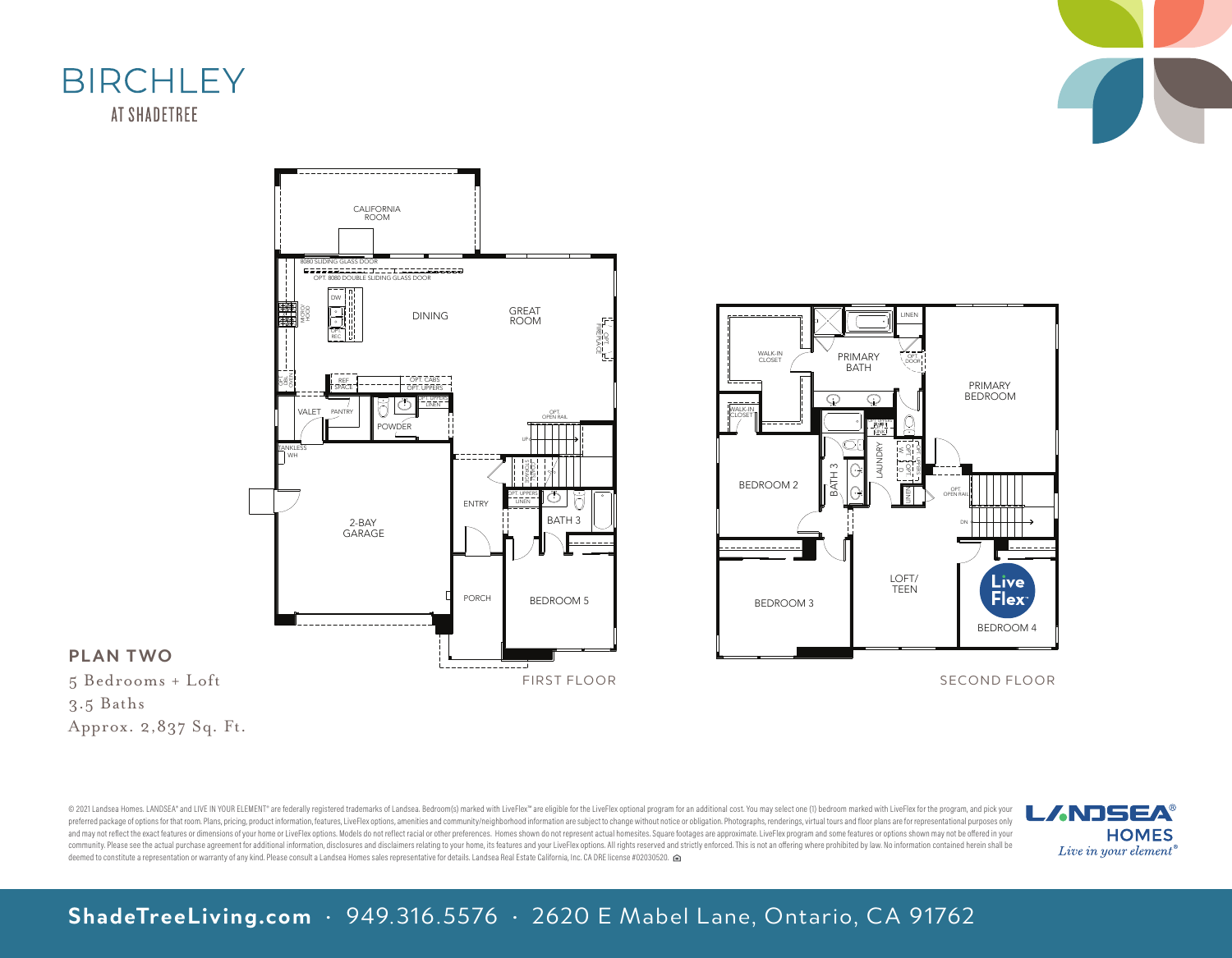





5 Bedrooms + Loft 3.5 Baths

Approx. 2,837 Sq. Ft.

© 2021 Landsea Homes. LANDSEA" and LIVE IN YOUR ELEMENT" are federally registered trademarks of Landsea. Bedroom(s) marked with LiveFlex" are eligible for the LiveFlex optional program for an additional cost. You may selec preferred package of options for that room. Plans, pricing, product information, features, LiveFlex options, amenities and community/neighborhood information are subiect to change without notice or obligation. Photographs, and may not reflect the exact features or dimensions of your home or LiveFlex options. Models do not reflect racial or other preferences. Homes shown do not represent actual homesites. Square footages are approximate. Live community. Please see the actual purchase agreement for additional information, disclosures and disclaimers relating to your home, its features and your LiveFlex options. All rights reserved and strictly enforced. This is communty. riease see the actual purchase agreement for additional information, disclosures and disclaimers reating to your nome, its reatures and your Liveriex options. All rights reserved a<br>deemed to constitute a represen

LANDSEA-BIRCHLEY



19168\_2FL

OPT. W OPT.

Z

LOFT/ TEEN

OPT. UPPERS

LAUNDRY

OPT. SINK

OPT. UPPERS

 $\odot$ 

PRIMARY BATH

> ᢉ᠅  $\Omega$

BATH

 $\odot$ 

OPT. DOOR

> PRIMARY BEDROOM

DN

OPT. OPEN RAIL

BEDROOM 4

Livel **Flex** 

LINEN